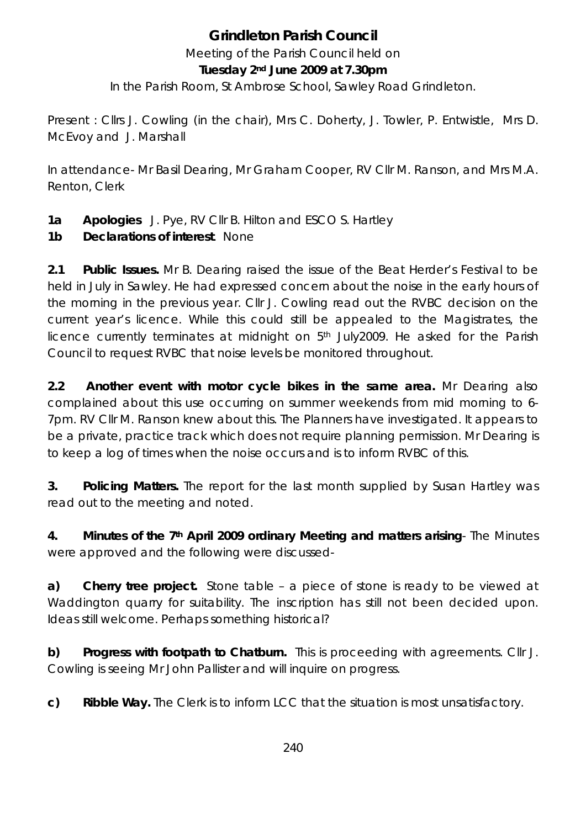# **Grindleton Parish Council**

Meeting of the Parish Council held on

#### **Tuesday 2nd June 2009 at 7.30pm**

In the Parish Room, St Ambrose School, Sawley Road Grindleton.

Present : Cllrs J. Cowling (in the chair), Mrs C. Doherty, J. Towler, P. Entwistle, Mrs D. McEvoy and J. Marshall

In attendance- Mr Basil Dearing, Mr Graham Cooper, RV Cllr M. Ranson, and Mrs M.A. Renton, Clerk

**1a Apologies** J. Pye, RV Cllr B. Hilton and ESCO S. Hartley

# **1b Declarations of interest**. None

**2.1 Public Issues.** Mr B. Dearing raised the issue of the Beat Herder's Festival to be held in July in Sawley. He had expressed concern about the noise in the early hours of the morning in the previous year. Cllr J. Cowling read out the RVBC decision on the current year's licence. While this could still be appealed to the Magistrates, the licence currently terminates at midnight on 5th July2009. He asked for the Parish Council to request RVBC that noise levels be monitored throughout.

**2.2 Another event with motor cycle bikes in the same area.** Mr Dearing also complained about this use occurring on summer weekends from mid morning *to 6-* 7pm*.* RV Cllr M. Ranson knew about this. The Planners have investigated. It appears to be a private, practice track which does not require planning permission. Mr Dearing is to keep a log of times when the noise occurs and is to inform RVBC of this.

**3. Policing Matters.** The report for the last month supplied by Susan Hartley was read out to the meeting and noted.

**4. Minutes of the 7th April 2009 ordinary Meeting and matters arising**- The Minutes were approved and the following were discussed-

**a) Cherry tree project.** Stone table – a piece of stone is ready to be viewed at Waddington quarry for suitability. The inscription has still not been decided upon. Ideas still welcome. Perhaps something historical?

**b) Progress with footpath to Chatburn.** This is proceeding with agreements. Cllr J. Cowling is seeing Mr John Pallister and will inquire on progress.

**c) Ribble Way.** The Clerk is to inform LCC that the situation is most unsatisfactory.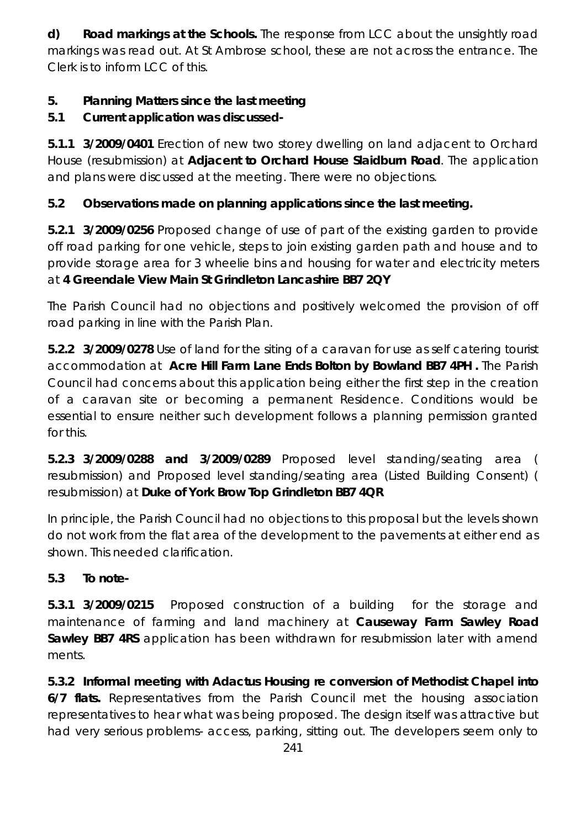**d) Road markings at the Schools.** The response from LCC about the unsightly road markings was read out. At St Ambrose school, these are not across the entrance. The Clerk is to inform LCC of this.

## **5. Planning Matters since the last meeting**

# **5.1 Current application was discussed-**

**5.1.1 3/2009/0401** Erection of new two storey dwelling on land adjacent to Orchard House (resubmission) at **Adjacent to Orchard House Slaidburn Road**. The application and plans were discussed at the meeting. There were no objections.

# **5.2 Observations made on planning applications since the last meeting.**

**5.2.1 3/2009/0256** Proposed change of use of part of the existing garden to provide off road parking for one vehicle, steps to join existing garden path and house and to provide storage area for 3 wheelie bins and housing for water and electricity meters at **4 Greendale View Main St Grindleton Lancashire BB7 2QY** 

The Parish Council had no objections and positively welcomed the provision of off road parking in line with the Parish Plan.

**5.2.2 3/2009/0278** Use of land for the siting of a caravan for use as self catering tourist accommodation at **Acre Hill Farm Lane Ends Bolton by Bowland BB7 4PH .** The Parish Council had concerns about this application being either the first step in the creation of a caravan site or becoming a permanent Residence. Conditions would be essential to ensure neither such development follows a planning permission granted for this.

**5.2.3 3/2009/0288 and 3/2009/0289** Proposed level standing/seating area ( resubmission) and Proposed level standing/seating area (Listed Building Consent) ( resubmission) at **Duke of York Brow Top Grindleton BB7 4QR** 

In principle, the Parish Council had no objections to this proposal but the levels shown do not work from the flat area of the development to the pavements at either end as shown. This needed clarification.

# **5.3 To note-**

**5.3.1 3/2009/0215** Proposed construction of a building for the storage and maintenance of farming and land machinery at **Causeway Farm Sawley Road Sawley BB7 4RS** application has been withdrawn for resubmission later with amend ments.

**5.3.2 Informal meeting with Adactus Housing re conversion of Methodist Chapel into 6/7 flats.** Representatives from the Parish Council met the housing association representatives to hear what was being proposed. The design itself was attractive but had very serious problems- access, parking, sitting out. The developers seem only to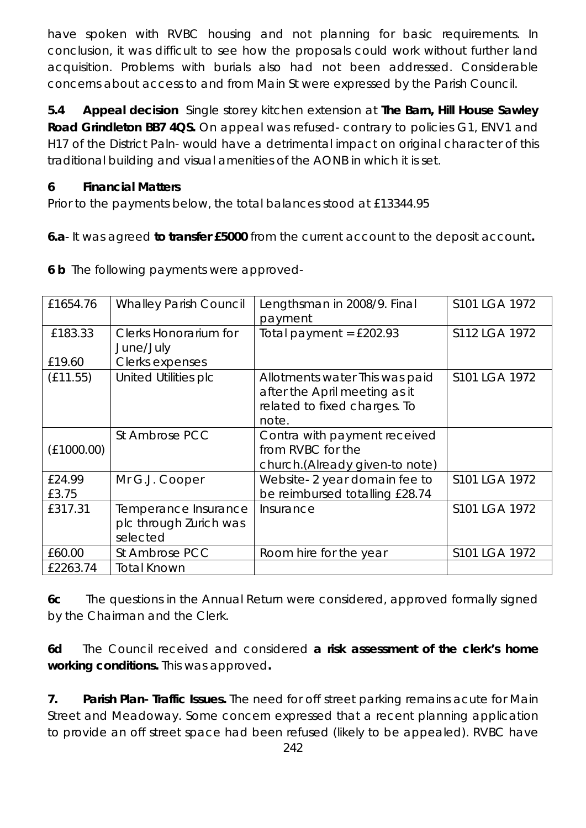have spoken with RVBC housing and not planning for basic requirements. In conclusion, it was difficult to see how the proposals could work without further land acquisition. Problems with burials also had not been addressed. Considerable concerns about access to and from Main St were expressed by the Parish Council.

**5.4 Appeal decision** Single storey kitchen extension at **The Barn, Hill House Sawley Road Grindleton BB7 4QS.** On appeal was refused- contrary to policies G1, ENV1 and H17 of the District Paln- would have a detrimental impact on original character of this traditional building and visual amenities of the AONB in which it is set.

#### **6 Financial Matters**

Prior to the payments below, the total balances stood at £13344.95

**6.a**- It was agreed **to transfer £5000** from the current account to the deposit account**.** 

| £1654.76        | <b>Whalley Parish Council</b>                              | Lengthsman in 2008/9. Final<br>payment                                                                   | S101 LGA 1972 |
|-----------------|------------------------------------------------------------|----------------------------------------------------------------------------------------------------------|---------------|
| £183.33         | Clerks Honorarium for<br>June/July                         | Total payment = $£202.93$                                                                                | S112 LGA 1972 |
| £19.60          | Clerks expenses                                            |                                                                                                          |               |
| (E11.55)        | <b>United Utilities plc</b>                                | Allotments water This was paid<br>after the April meeting as it<br>related to fixed charges. To<br>note. | S101 LGA 1972 |
| (E1000.00)      | St Ambrose PCC                                             | Contra with payment received<br>from RVBC for the<br>church. (Already given-to note)                     |               |
| £24.99<br>£3.75 | Mr G.J. Cooper                                             | Website-2 year domain fee to<br>be reimbursed totalling £28.74                                           | S101 LGA 1972 |
| £317.31         | Temperance Insurance<br>plc through Zurich was<br>selected | Insurance                                                                                                | S101 LGA 1972 |
| £60.00          | St Ambrose PCC                                             | Room hire for the year                                                                                   | S101 LGA 1972 |
| £2263.74        | <b>Total Known</b>                                         |                                                                                                          |               |

**6 b** The following payments were approved-

**6c** The questions in the Annual Return were considered, approved formally signed by the Chairman and the Clerk.

**6d** The Council received and considered **a risk assessment of the clerk's home working conditions.** This was approved**.** 

**7. Parish Plan- Traffic Issues.** The need for off street parking remains acute for Main Street and Meadoway. Some concern expressed that a recent planning application to provide an off street space had been refused (likely to be appealed). RVBC have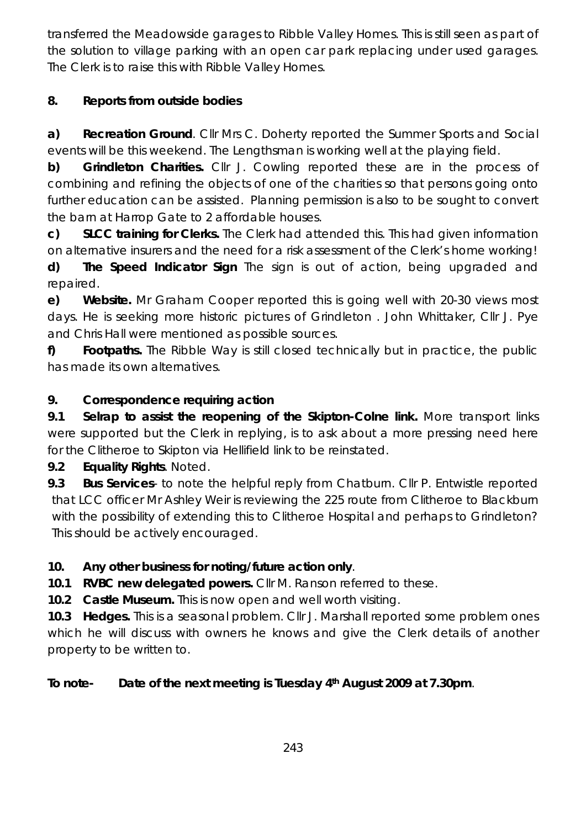transferred the Meadowside garages to Ribble Valley Homes. This is still seen as part of the solution to village parking with an open car park replacing under used garages. The Clerk is to raise this with Ribble Valley Homes.

# **8. Reports from outside bodies**

**a) Recreation Ground**. Cllr Mrs C. Doherty reported the Summer Sports and Social events will be this weekend. The Lengthsman is working well at the playing field.

**b) Grindleton Charities.** Cllr J. Cowling reported these are in the process of combining and refining the objects of one of the charities so that persons going onto further education can be assisted. Planning permission is also to be sought to convert the barn at Harrop Gate to 2 affordable houses.

**c) SLCC training for Clerks.** The Clerk had attended this. This had given information on alternative insurers and the need for a risk assessment of the Clerk's home working!

**d) The Speed Indicator Sign** The sign is out of action, being upgraded and repaired.

**e) Website.** Mr Graham Cooper reported this is going well with 20-30 views most days. He is seeking more historic pictures of Grindleton . John Whittaker, Cllr J. Pye and Chris Hall were mentioned as possible sources.

**f) Footpaths.** The Ribble Way is still closed technically but in practice, the public has made its own alternatives.

# **9. Correspondence requiring action**

**9.1 Selrap to assist the reopening of the Skipton-Colne link.** More transport links were supported but the Clerk in replying, is to ask about a more pressing need here for the Clitheroe to Skipton via Hellifield link to be reinstated.

**9.2 Equality Rights**. Noted.

**9.3 Bus Services**- to note the helpful reply from Chatburn. Cllr P. Entwistle reported that LCC officer Mr Ashley Weir is reviewing the 225 route from Clitheroe to Blackburn with the possibility of extending this to Clitheroe Hospital and perhaps to Grindleton? This should be actively encouraged.

# **10. Any other business for noting/future action only**.

**10.1 RVBC new delegated powers.** Cllr M. Ranson referred to these.

**10.2 Castle Museum.** This is now open and well worth visiting.

**10.3 Hedges.** This is a seasonal problem. Cllr J. Marshall reported some problem ones which he will discuss with owners he knows and give the Clerk details of another property to be written to.

## **To note- Date of the next meeting is Tuesday 4th August 2009 at 7.30pm**.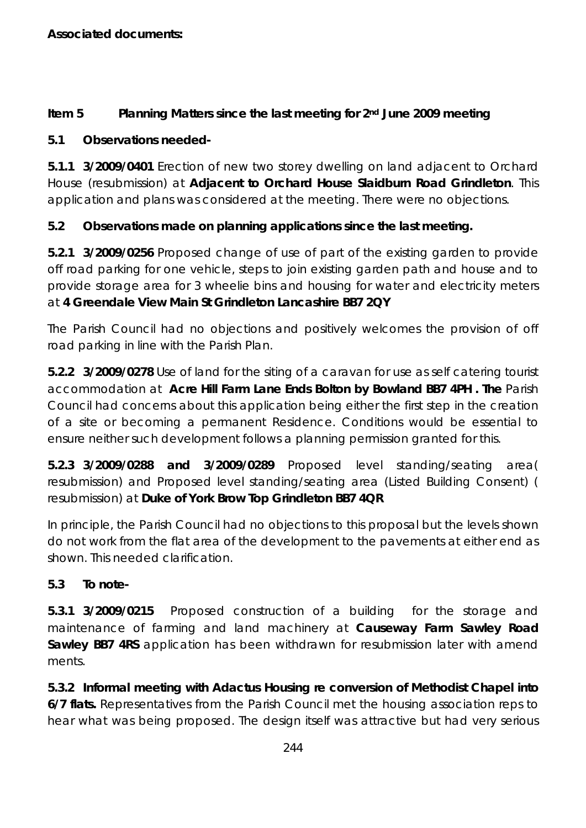### **Item 5 Planning Matters since the last meeting for 2nd June 2009 meeting**

### **5.1 Observations needed-**

**5.1.1 3/2009/0401** Erection of new two storey dwelling on land adjacent to Orchard House (resubmission) at **Adjacent to Orchard House Slaidburn Road Grindleton**. This application and plans was considered at the meeting. There were no objections.

## **5.2 Observations made on planning applications since the last meeting.**

**5.2.1 3/2009/0256** Proposed change of use of part of the existing garden to provide off road parking for one vehicle, steps to join existing garden path and house and to provide storage area for 3 wheelie bins and housing for water and electricity meters at **4 Greendale View Main St Grindleton Lancashire BB7 2QY** 

The Parish Council had no objections and positively welcomes the provision of off road parking in line with the Parish Plan.

**5.2.2 3/2009/0278** Use of land for the siting of a caravan for use as self catering tourist accommodation at **Acre Hill Farm Lane Ends Bolton by Bowland BB7 4PH . The** Parish Council had concerns about this application being either the first step in the creation of a site or becoming a permanent Residence. Conditions would be essential to ensure neither such development follows a planning permission granted for this.

**5.2.3 3/2009/0288 and 3/2009/0289** Proposed level standing/seating area( resubmission) and Proposed level standing/seating area (Listed Building Consent) ( resubmission) at **Duke of York Brow Top Grindleton BB7 4QR** 

In principle, the Parish Council had no objections to this proposal but the levels shown do not work from the flat area of the development to the pavements at either end as shown. This needed clarification.

## **5.3 To note-**

**5.3.1 3/2009/0215** Proposed construction of a building for the storage and maintenance of farming and land machinery at **Causeway Farm Sawley Road Sawley BB7 4RS** application has been withdrawn for resubmission later with amend ments.

**5.3.2 Informal meeting with Adactus Housing re conversion of Methodist Chapel into 6/7 flats.** Representatives from the Parish Council met the housing association reps to hear what was being proposed. The design itself was attractive but had very serious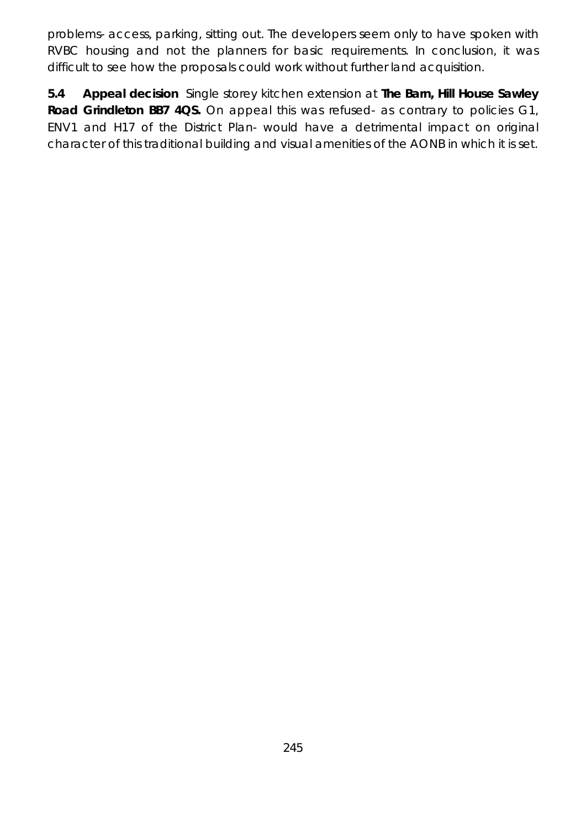problems- access, parking, sitting out. The developers seem only to have spoken with RVBC housing and not the planners for basic requirements. In conclusion, it was difficult to see how the proposals could work without further land acquisition.

**5.4 Appeal decision** Single storey kitchen extension at **The Barn, Hill House Sawley Road Grindleton BB7 4QS.** On appeal this was refused- as contrary to policies G1, ENV1 and H17 of the District Plan- would have a detrimental impact on original character of this traditional building and visual amenities of the AONB in which it is set.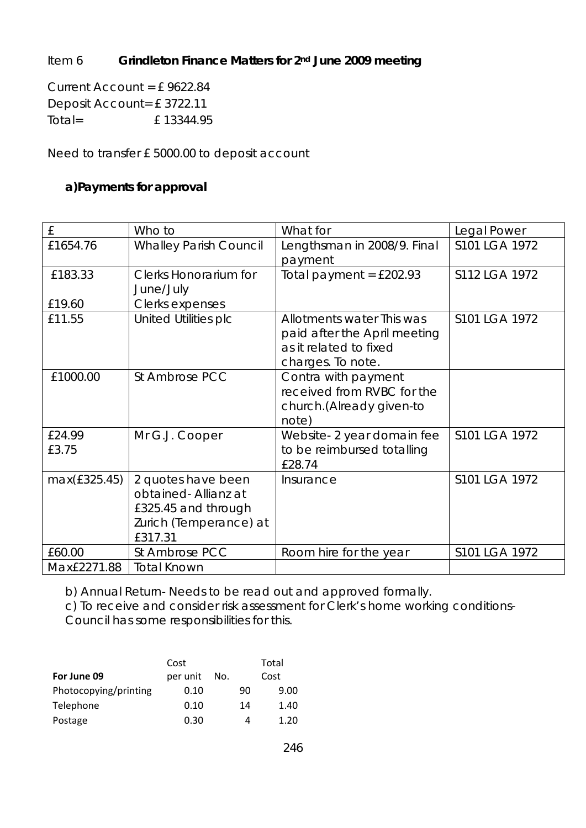## Item 6 **Grindleton Finance Matters for 2nd June 2009 meeting**

Current Account = £ 9622.84 Deposit Account= £ 3722.11 Total= £ 13344.95

Need to transfer £ 5000.00 to deposit account

#### **a)Payments for approval**

| £            | Who to                        | What for                     | Legal Power   |
|--------------|-------------------------------|------------------------------|---------------|
| £1654.76     | <b>Whalley Parish Council</b> | Lengthsman in 2008/9. Final  | S101 LGA 1972 |
|              |                               | payment                      |               |
| £183.33      | <b>Clerks Honorarium for</b>  | Total payment = $£202.93$    | S112 LGA 1972 |
|              | June/July                     |                              |               |
| £19.60       | Clerks expenses               |                              |               |
| £11.55       | United Utilities plc          | Allotments water This was    | S101 LGA 1972 |
|              |                               | paid after the April meeting |               |
|              |                               | as it related to fixed       |               |
|              |                               | charges. To note.            |               |
| £1000.00     | St Ambrose PCC                | Contra with payment          |               |
|              |                               | received from RVBC for the   |               |
|              |                               | church. (Already given-to    |               |
|              |                               | note)                        |               |
| £24.99       | Mr G.J. Cooper                | Website-2 year domain fee    | S101 LGA 1972 |
| £3.75        |                               | to be reimbursed totalling   |               |
|              |                               | £28.74                       |               |
| max(£325.45) | 2 quotes have been            | Insurance                    | S101 LGA 1972 |
|              | obtained- Allianz at          |                              |               |
|              | £325.45 and through           |                              |               |
|              | Zurich (Temperance) at        |                              |               |
|              | £317.31                       |                              |               |
| £60.00       | St Ambrose PCC                | Room hire for the year       | S101 LGA 1972 |
| Max£2271.88  | <b>Total Known</b>            |                              |               |

b) Annual Return- Needs to be read out and approved formally.

c) To receive and consider risk assessment for Clerk's home working conditions-

Council has some responsibilities for this.

| Cost                  |          |     | Total |      |
|-----------------------|----------|-----|-------|------|
| For June 09           | per unit | No. |       | Cost |
| Photocopying/printing | 0.10     |     | 90    | 9.00 |
| Telephone             | 0.10     |     | 14    | 1.40 |
| Postage               | 0.30     |     | Д     | 1.20 |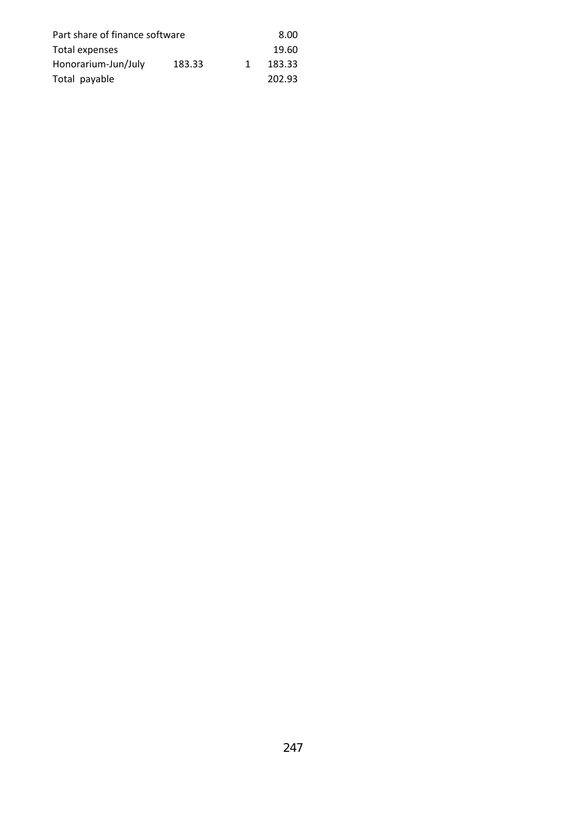| Part share of finance software |    |        |
|--------------------------------|----|--------|
|                                |    | 19.60  |
| 183.33                         | 1. | 183.33 |
|                                |    | 202.93 |
|                                |    |        |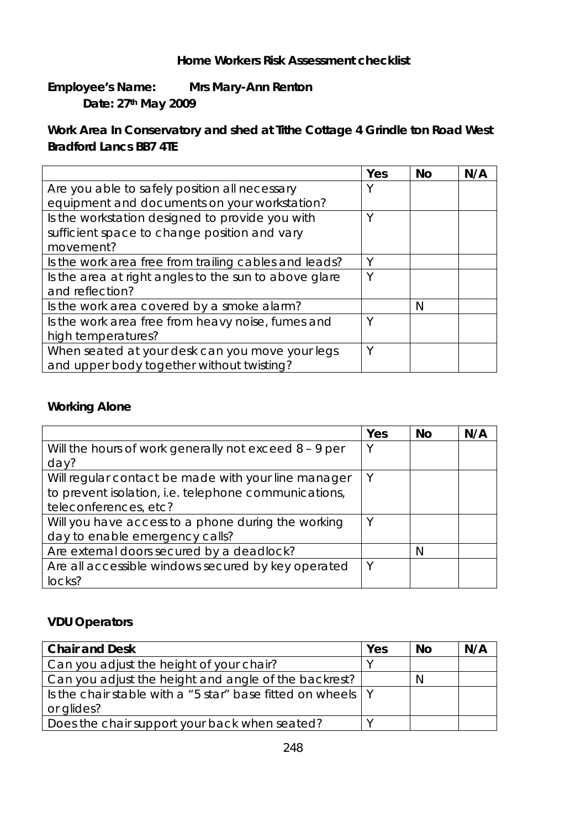#### **Home Workers Risk Assessment checklist**

### **Employee's Name: Mrs Mary-Ann Renton Date: 27th May 2009**

### **Work Area In Conservatory and shed at Tithe Cottage 4 Grindle ton Road West Bradford Lancs BB7 4TE**

|                                                       | Yes | <b>No</b> | N/A |
|-------------------------------------------------------|-----|-----------|-----|
| Are you able to safely position all necessary         |     |           |     |
| equipment and documents on your workstation?          |     |           |     |
| Is the workstation designed to provide you with       | Υ   |           |     |
| sufficient space to change position and vary          |     |           |     |
| movement?                                             |     |           |     |
| Is the work area free from trailing cables and leads? | Υ   |           |     |
| Is the area at right angles to the sun to above glare | Υ   |           |     |
| and reflection?                                       |     |           |     |
| Is the work area covered by a smoke alarm?            |     | N         |     |
| Is the work area free from heavy noise, fumes and     | Υ   |           |     |
| high temperatures?                                    |     |           |     |
| When seated at your desk can you move your legs       | ν   |           |     |
| and upper body together without twisting?             |     |           |     |

#### **Working Alone**

|                                                         | Yes | <b>No</b> | N/A |
|---------------------------------------------------------|-----|-----------|-----|
| Will the hours of work generally not exceed $8 - 9$ per | Υ   |           |     |
| day?                                                    |     |           |     |
| Will regular contact be made with your line manager     | V   |           |     |
| to prevent isolation, i.e. telephone communications,    |     |           |     |
| teleconferences, etc?                                   |     |           |     |
| Will you have access to a phone during the working      | Υ   |           |     |
| day to enable emergency calls?                          |     |           |     |
| Are external doors secured by a deadlock?               |     | N         |     |
| Are all accessible windows secured by key operated      | ∨   |           |     |
| locks?                                                  |     |           |     |

#### **VDU Operators**

| <b>Chair and Desk</b>                                         | Yes | No | N/A |
|---------------------------------------------------------------|-----|----|-----|
| Can you adjust the height of your chair?                      |     |    |     |
| Can you adjust the height and angle of the backrest?          |     | N  |     |
| Is the chair stable with a "5 star" base fitted on wheels   Y |     |    |     |
| or glides?                                                    |     |    |     |
| Does the chair support your back when seated?                 |     |    |     |